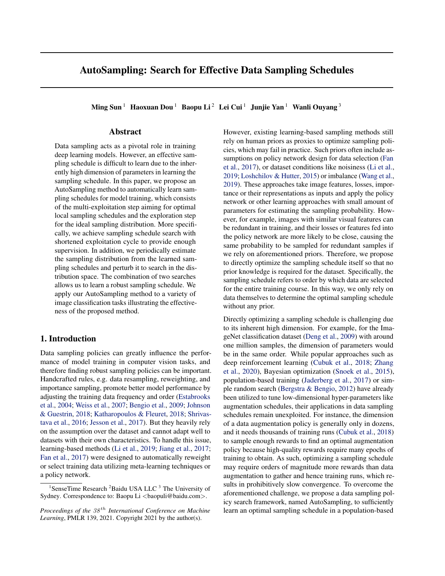# AutoSampling: Search for Effective Data Sampling Schedules

Ming Sun<sup>1</sup> Haoxuan Dou<sup>1</sup> Baopu Li<sup>2</sup> Lei Cui<sup>1</sup> Junjie Yan<sup>1</sup> Wanli Ouyang<sup>3</sup>

# Abstract

Data sampling acts as a pivotal role in training deep learning models. However, an effective sampling schedule is difficult to learn due to the inherently high dimension of parameters in learning the sampling schedule. In this paper, we propose an AutoSampling method to automatically learn sampling schedules for model training, which consists of the multi-exploitation step aiming for optimal local sampling schedules and the exploration step for the ideal sampling distribution. More specifically, we achieve sampling schedule search with shortened exploitation cycle to provide enough supervision. In addition, we periodically estimate the sampling distribution from the learned sampling schedules and perturb it to search in the distribution space. The combination of two searches allows us to learn a robust sampling schedule. We apply our AutoSampling method to a variety of image classification tasks illustrating the effectiveness of the proposed method.

# 1. Introduction

Data sampling policies can greatly influence the performance of model training in computer vision tasks, and therefore finding robust sampling policies can be important. Handcrafted rules, e.g. data resampling, reweighting, and importance sampling, promote better model performance by adjusting the training data frequency and order [\(Estabrooks](#page-9-0) [et al.,](#page-9-0) [2004;](#page-9-0) [Weiss et al.,](#page-10-0) [2007;](#page-10-0) [Bengio et al.,](#page-9-0) [2009;](#page-9-0) [Johnson](#page-9-0) [& Guestrin,](#page-9-0) [2018;](#page-9-0) [Katharopoulos & Fleuret,](#page-9-0) [2018;](#page-9-0) [Shrivas](#page-10-0)[tava et al.,](#page-10-0) [2016;](#page-10-0) [Jesson et al.,](#page-9-0) [2017\)](#page-9-0). But they heavily rely on the assumption over the dataset and cannot adapt well to datasets with their own characteristics. To handle this issue, learning-based methods [\(Li et al.,](#page-9-0) [2019;](#page-9-0) [Jiang et al.,](#page-9-0) [2017;](#page-9-0) [Fan et al.,](#page-9-0) [2017\)](#page-9-0) were designed to automatically reweight or select training data utilizing meta-learning techniques or a policy network.

However, existing learning-based sampling methods still rely on human priors as proxies to optimize sampling policies, which may fail in practice. Such priors often include assumptions on policy network design for data selection [\(Fan](#page-9-0) [et al.,](#page-9-0) [2017\)](#page-9-0), or dataset conditions like noisiness [\(Li et al.,](#page-9-0) [2019;](#page-9-0) [Loshchilov & Hutter,](#page-9-0) [2015\)](#page-9-0) or imbalance [\(Wang et al.,](#page-10-0) [2019\)](#page-10-0). These approaches take image features, losses, importance or their representations as inputs and apply the policy network or other learning approaches with small amount of parameters for estimating the sampling probability. However, for example, images with similar visual features can be redundant in training, and their losses or features fed into the policy network are more likely to be close, causing the same probability to be sampled for redundant samples if we rely on aforementioned priors. Therefore, we propose to directly optimize the sampling schedule itself so that no prior knowledge is required for the dataset. Specifically, the sampling schedule refers to order by which data are selected for the entire training course. In this way, we only rely on data themselves to determine the optimal sampling schedule without any prior.

Directly optimizing a sampling schedule is challenging due to its inherent high dimension. For example, for the ImageNet classification dataset [\(Deng et al.,](#page-9-0) [2009\)](#page-9-0) with around one million samples, the dimension of parameters would be in the same order. While popular approaches such as deep reinforcement learning [\(Cubuk et al.,](#page-9-0) [2018;](#page-9-0) [Zhang](#page-10-0) [et al.,](#page-10-0) [2020\)](#page-10-0), Bayesian optimization [\(Snoek et al.,](#page-10-0) [2015\)](#page-10-0), population-based training [\(Jaderberg et al.,](#page-9-0) [2017\)](#page-9-0) or simple random search [\(Bergstra & Bengio,](#page-9-0) [2012\)](#page-9-0) have already been utilized to tune low-dimensional hyper-parameters like augmentation schedules, their applications in data sampling schedules remain unexploited. For instance, the dimension of a data augmentation policy is generally only in dozens, and it needs thousands of training runs [\(Cubuk et al.,](#page-9-0) [2018\)](#page-9-0) to sample enough rewards to find an optimal augmentation policy because high-quality rewards require many epochs of training to obtain. As such, optimizing a sampling schedule may require orders of magnitude more rewards than data augmentation to gather and hence training runs, which results in prohibitively slow convergence. To overcome the aforementioned challenge, we propose a data sampling policy search framework, named AutoSampling, to sufficiently learn an optimal sampling schedule in a population-based

<sup>&</sup>lt;sup>1</sup>SenseTime Research  ${}^{2}$ Baidu USA LLC<sup>3</sup> The University of Sydney. Correspondence to: Baopu Li <br/> <br/> <br/> <br/> <br/>Quadu.com>.

*Proceedings of the*  $38<sup>th</sup>$  *International Conference on Machine Learning*, PMLR 139, 2021. Copyright 2021 by the author(s).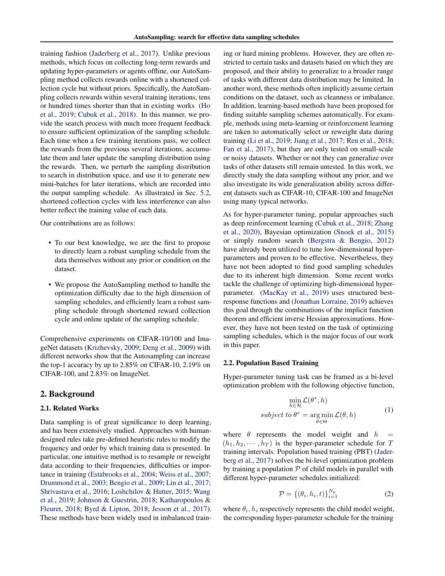<span id="page-1-0"></span>training fashion [\(Jaderberg et al.,](#page-9-0) [2017\)](#page-9-0). Unlike previous methods, which focus on collecting long-term rewards and updating hyper-parameters or agents offline, our AutoSampling method collects rewards online with a shortened collection cycle but without priors. Specifically, the AutoSampling collects rewards within several training iterations, tens or hundred times shorter than that in existing works [\(Ho](#page-9-0) [et al.,](#page-9-0) [2019;](#page-9-0) [Cubuk et al.,](#page-9-0) [2018\)](#page-9-0). In this manner, we provide the search process with much more frequent feedback to ensure sufficient optimization of the sampling schedule. Each time when a few training iterations pass, we collect the rewards from the previous several iterations, accumulate them and later update the sampling distribution using the rewards. Then, we perturb the sampling distribution to search in distribution space, and use it to generate new mini-batches for later iterations, which are recorded into the output sampling schedule. As illustrated in Sec. [5.2,](#page-4-0) shortened collection cycles with less interference can also better reflect the training value of each data.

Our contributions are as follows:

- To our best knowledge, we are the first to propose to directly learn a robust sampling schedule from the data themselves without any prior or condition on the dataset.
- We propose the AutoSampling method to handle the optimization difficulty due to the high dimension of sampling schedules, and efficiently learn a robust sampling schedule through shortened reward collection cycle and online update of the sampling schedule.

Comprehensive experiments on CIFAR-10/100 and ImageNet datasets [\(Krizhevsky,](#page-9-0) [2009;](#page-9-0) [Deng et al.,](#page-9-0) [2009\)](#page-9-0) with different networks show that the Autosampling can increase the top-1 accuracy by up to 2.85% on CIFAR-10, 2.19% on CIFAR-100, and 2.83% on ImageNet.

## 2. Background

#### 2.1. Related Works

Data sampling is of great significance to deep learning, and has been extensively studied. Approaches with humandesigned rules take pre-defined heuristic rules to modify the frequency and order by which training data is presented. In particular, one intuitive method is to resample or reweight data according to their frequencies, difficulties or importance in training [\(Estabrooks et al.,](#page-9-0) [2004;](#page-9-0) [Weiss et al.,](#page-10-0) [2007;](#page-10-0) [Drummond et al.,](#page-9-0) [2003;](#page-9-0) [Bengio et al.,](#page-9-0) [2009;](#page-9-0) [Lin et al.,](#page-9-0) [2017;](#page-9-0) [Shrivastava et al.,](#page-10-0) [2016;](#page-10-0) [Loshchilov & Hutter,](#page-9-0) [2015;](#page-9-0) [Wang](#page-10-0) [et al.,](#page-10-0) [2019;](#page-10-0) [Johnson & Guestrin,](#page-9-0) [2018;](#page-9-0) [Katharopoulos &](#page-9-0) [Fleuret,](#page-9-0) [2018;](#page-9-0) [Byrd & Lipton,](#page-9-0) [2018;](#page-9-0) [Jesson et al.,](#page-9-0) [2017\)](#page-9-0). These methods have been widely used in imbalanced training or hard mining problems. However, they are often restricted to certain tasks and datasets based on which they are proposed, and their ability to generalize to a broader range of tasks with different data distribution may be limited. In another word, these methods often implicitly assume certain conditions on the dataset, such as cleanness or imbalance. In addition, learning-based methods have been proposed for finding suitable sampling schemes automatically. For example, methods using meta-learning or reinforcement learning are taken to automatically select or reweight data during training [\(Li et al.,](#page-9-0) [2019;](#page-9-0) [Jiang et al.,](#page-9-0) [2017;](#page-9-0) [Ren et al.,](#page-10-0) [2018;](#page-10-0) [Fan et al.,](#page-9-0) [2017\)](#page-9-0), but they are only tested on small-scale or noisy datasets. Whether or not they can generalize over tasks of other datasets still remain untested. In this work, we directly study the data sampling without any prior, and we also investigate its wide generalization ability across different datasets such as CIFAR-10, CIFAR-100 and ImageNet using many typical networks.

As for hyper-parameter tuning, popular approaches such as deep reinforcement learning [\(Cubuk et al.,](#page-9-0) [2018;](#page-9-0) [Zhang](#page-10-0) [et al.,](#page-10-0) [2020\)](#page-10-0), Bayesian optimization [\(Snoek et al.,](#page-10-0) [2015\)](#page-10-0) or simply random search [\(Bergstra & Bengio,](#page-9-0) [2012\)](#page-9-0) have already been utilized to tune low-dimensional hyperparameters and proven to be effective. Nevertheless, they have not been adopted to find good sampling schedules due to its inherent high dimension. Some recent works tackle the challenge of optimizing high-dimensional hyperparameter. [\(MacKay et al.,](#page-9-0) [2019\)](#page-9-0) uses structured bestresponse functions and [\(Jonathan Lorraine,](#page-9-0) [2019\)](#page-9-0) achieves this goal through the combinations of the implicit function theorem and efficient inverse Hessian approximations. However, they have not been tested on the task of optimizing sampling schedules, which is the major focus of our work in this paper.

#### 2.2. Population Based Training

Hyper-parameter tuning task can be framed as a bi-level optimization problem with the following objective function,

$$
\min_{h \in \mathcal{H}} \mathcal{L}(\theta^*, h)
$$
  
subject to  $\theta^* = \underset{\theta \in \Theta}{\arg \min} \mathcal{L}(\theta, h)$  (1)

where  $\theta$  represents the model weight and  $h =$  $(h_1, h_2, \dots, h_T)$  is the hyper-parameter schedule for T training intervals. Population based training (PBT) [\(Jader](#page-9-0)[berg et al.,](#page-9-0) [2017\)](#page-9-0) solves the bi-level optimization problem by training a population  $P$  of child models in parallel with different hyper-parameter schedules initialized:

$$
\mathcal{P} = \{(\theta_i, h_i, t)\}_{i=1}^{N_p} \tag{2}
$$

where  $\theta_i$ ,  $h_i$  respectively represents the child model weight, the corresponding hyper-parameter schedule for the training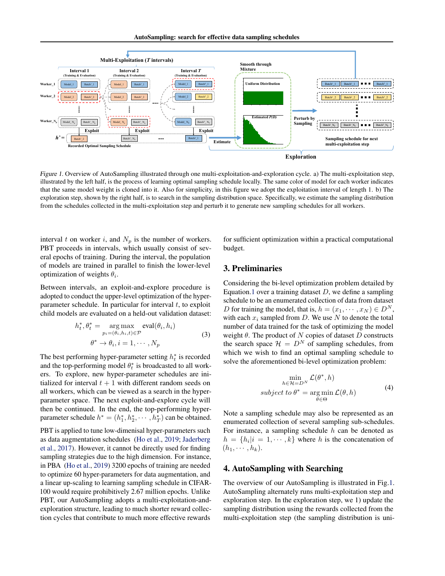AutoSampling: search for effective data sampling schedules



Figure 1. Overview of AutoSampling illustrated through one multi-exploitation-and-exploration cycle. a) The multi-exploitation step, illustrated by the left half, is the process of learning optimal sampling schedule locally. The same color of model for each worker indicates that the same model weight is cloned into it. Also for simplicity, in this figure we adopt the exploitation interval of length 1. b) The exploration step, shown by the right half, is to search in the sampling distribution space. Specifically, we estimate the sampling distribution from the schedules collected in the multi-exploitation step and perturb it to generate new sampling schedules for all workers.

interval t on worker i, and  $N_p$  is the number of workers. PBT proceeds in intervals, which usually consist of several epochs of training. During the interval, the population of models are trained in parallel to finish the lower-level optimization of weights  $\theta_i$ .

Between intervals, an exploit-and-explore procedure is adopted to conduct the upper-level optimization of the hyperparameter schedule. In particular for interval  $t$ , to exploit child models are evaluated on a held-out validation dataset:

$$
h_t^*, \theta_t^* = \underset{p_i = (\theta_i, h_i, t) \in \mathcal{P}}{\arg \max} \text{eval}(\theta_i, h_i)
$$
  

$$
\theta^* \to \theta_i, i = 1, \cdots, N_p
$$
 (3)

The best performing hyper-parameter setting  $h_t^*$  is recorded and the top-performing model  $\theta_t^*$  is broadcasted to all workers. To explore, new hyper-parameter schedules are initialized for interval  $t + 1$  with different random seeds on all workers, which can be viewed as a search in the hyperparameter space. The next exploit-and-explore cycle will then be continued. In the end, the top-performing hyperparameter schedule  $h^* = (h_1^*, h_2^*, \cdots, h_T^*)$  can be obtained.

PBT is applied to tune low-dimenisal hyper-parameters such as data augmentation schedules [\(Ho et al.,](#page-9-0) [2019;](#page-9-0) [Jaderberg](#page-9-0) [et al.,](#page-9-0) [2017\)](#page-9-0). However, it cannot be directly used for finding sampling strategies due to the high dimension. For instance, in PBA [\(Ho et al.,](#page-9-0) [2019\)](#page-9-0) 3200 epochs of training are needed to optimize 60 hyper-parameters for data augmentation, and a linear up-scaling to learning sampling schedule in CIFAR-100 would require prohibitively 2.67 million epochs. Unlike PBT, our AutoSampling adopts a multi-exploitation-andexploration structure, leading to much shorter reward collection cycles that contribute to much more effective rewards

for sufficient optimization within a practical computational budget.

## 3. Preliminaries

Considering the bi-level optimization problem detailed by Equation[.1](#page-1-0) over a training dataset  $D$ , we define a sampling schedule to be an enumerated collection of data from dataset D for training the model, that is,  $h = (x_1, \dots, x_N) \in D^N$ , with each  $x_i$  sampled from D. We use N to denote the total number of data trained for the task of optimizing the model weight  $\theta$ . The product of N copies of dataset D constructs the search space  $\mathcal{H} = D^N$  of sampling schedules, from which we wish to find an optimal sampling schedule to solve the aforementioned bi-level optimization problem:

$$
\min_{h \in \mathcal{H} = D^N} \mathcal{L}(\theta^*, h)
$$
  
subject to  $\theta^* = \underset{\theta \in \Theta}{\arg \min} \mathcal{L}(\theta, h)$  (4)

Note a sampling schedule may also be represented as an enumerated collection of several sampling sub-schedules. For instance, a sampling schedule  $h$  can be denoted as  $h = \{h_i | i = 1, \dots, k\}$  where h is the concatenation of  $(h_1, \cdots, h_k)$ .

## 4. AutoSampling with Searching

The overview of our AutoSampling is illustrated in Fig.1. AutoSampling alternately runs multi-exploitation step and exploration step. In the exploration step, we 1) update the sampling distribution using the rewards collected from the multi-exploitation step (the sampling distribution is uni-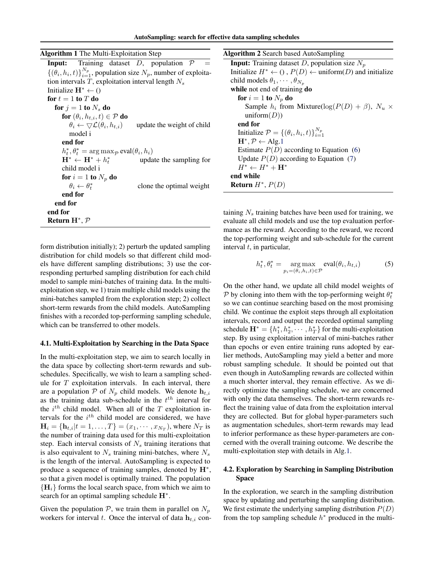<span id="page-3-0"></span>

| <b>Algorithm 1</b> The Multi-Exploitation Step |  |  |  |  |  |  |  |
|------------------------------------------------|--|--|--|--|--|--|--|
|------------------------------------------------|--|--|--|--|--|--|--|

|                           |                                                                          |  | <b>Input:</b> Training dataset $D$ , population $\mathcal{P}$                      |  |
|---------------------------|--------------------------------------------------------------------------|--|------------------------------------------------------------------------------------|--|
|                           |                                                                          |  | $\{(\theta_i, h_i, t)\}_{i=1}^{N_p}$ , population size $N_p$ , number of exploita- |  |
|                           |                                                                          |  | tion intervals $T$ , exploitation interval length $N_s$                            |  |
|                           | Initialize $H^* \leftarrow ()$                                           |  |                                                                                    |  |
|                           | for $t=1$ to $T$ do                                                      |  |                                                                                    |  |
|                           | for $i = 1$ to $N_s$ do                                                  |  |                                                                                    |  |
|                           | for $(\theta_i, h_{t,i}, t) \in \mathcal{P}$ do                          |  |                                                                                    |  |
|                           | $\theta_i \leftarrow \bigtriangledown \mathcal{L}(\theta_i, h_{t,i})$    |  | update the weight of child                                                         |  |
|                           | model i                                                                  |  |                                                                                    |  |
|                           | end for                                                                  |  |                                                                                    |  |
|                           | $h_t^*, \theta_t^* = \arg \max_{\mathcal{P}} \text{eval}(\theta_i, h_i)$ |  |                                                                                    |  |
|                           | $H^* \leftarrow H^* + h_t^*$                                             |  | update the sampling for                                                            |  |
|                           | child model i                                                            |  |                                                                                    |  |
|                           | for $i=1$ to $N_n$ do                                                    |  |                                                                                    |  |
|                           | $\theta_i \leftarrow \theta_i^*$                                         |  | clone the optimal weight                                                           |  |
|                           | end for                                                                  |  |                                                                                    |  |
| end for                   |                                                                          |  |                                                                                    |  |
| end for                   |                                                                          |  |                                                                                    |  |
| Return $H^*, \mathcal{P}$ |                                                                          |  |                                                                                    |  |

form distribution initially); 2) perturb the updated sampling distribution for child models so that different child models have different sampling distributions; 3) use the corresponding perturbed sampling distribution for each child model to sample mini-batches of training data. In the multiexploitation step, we 1) train multiple child models using the mini-batches sampled from the exploration step; 2) collect short-term rewards from the child models. AutoSampling finishes with a recorded top-performing sampling schedule, which can be transferred to other models.

#### 4.1. Multi-Exploitation by Searching in the Data Space

In the multi-exploitation step, we aim to search locally in the data space by collecting short-term rewards and subschedules. Specifically, we wish to learn a sampling schedule for  $T$  exploitation intervals. In each interval, there are a population  $P$  of  $N_p$  child models. We denote  $h_{t,i}$ as the training data sub-schedule in the  $t^{th}$  interval for the  $i^{th}$  child model. When all of the T exploitation intervals for the  $i^{th}$  child model are considered, we have  $\mathbf{H}_{i} = {\mathbf{h}_{t,i}|t = 1, ..., T} = (x_1, \cdots, x_{N_T})$ , where  $N_T$  is the number of training data used for this multi-exploitation step. Each interval consists of  $N_s$  training iterations that is also equivalent to  $N_s$  training mini-batches, where  $N_s$ is the length of the interval. AutoSampling is expected to produce a sequence of training samples, denoted by  $H^*$ , so that a given model is optimally trained. The population  ${H_i}$  forms the local search space, from which we aim to search for an optimal sampling schedule  $H^*$ .

Given the population  $P$ , we train them in parallel on  $N_p$ workers for interval t. Once the interval of data  $h_{t,i}$  con-

| <b>Algorithm 2 Search based AutoSampling</b>                                     |
|----------------------------------------------------------------------------------|
| <b>Input:</b> Training dataset D, population size $N_p$                          |
| Initialize $H^* \leftarrow (0, P(D) \leftarrow \text{uniform}(D)$ and initialize |
| child models $\theta_1, \cdots, \theta_{N_n}$                                    |
| while not end of training <b>do</b>                                              |
| for $i=1$ to $N_p$ do                                                            |
| Sample $h_i$ from Mixture(log( $P(D) + \beta$ ), $N_u \times$                    |
| uniform $(D)$                                                                    |
| end for                                                                          |
| Initialize $\mathcal{P} = \{(\theta_i, h_i, t)\}_{i=1}^{N_p}$                    |
| $H^*, \mathcal{P} \leftarrow$ Alg.1                                              |
| Estimate $P(D)$ according to Equation (6)                                        |
| Update $P(D)$ according to Equation (7)                                          |
| $H^* \leftarrow H^* + H^*$                                                       |
| end while                                                                        |
| <b>Return</b> $H^*$ , $P(D)$                                                     |

taining  $N<sub>s</sub>$  training batches have been used for training, we evaluate all child models and use the top evaluation performance as the reward. According to the reward, we record the top-performing weight and sub-schedule for the current interval  $t$ , in particular,

$$
h_t^*, \theta_t^* = \underset{p_i = (\theta_i, h_i, t) \in \mathcal{P}}{\arg \max} \text{eval}(\theta_i, h_{t,i}) \tag{5}
$$

On the other hand, we update all child model weights of  $\mathcal P$  by cloning into them with the top-performing weight  $\theta_t^*$ so we can continue searching based on the most promising child. We continue the exploit steps through all exploitation intervals, record and output the recorded optimal sampling schedule  $\mathbf{H}^* = \{h_1^*, h_2^*, \cdots, h_T^*\}$  for the multi-exploitation step. By using exploitation interval of mini-batches rather than epochs or even entire training runs adopted by earlier methods, AutoSampling may yield a better and more robust sampling schedule. It should be pointed out that even though in AutoSampling rewards are collected within a much shorter interval, they remain effective. As we directly optimize the sampling schedule, we are concerned with only the data themselves. The short-term rewards reflect the training value of data from the exploitation interval they are collected. But for global hyper-parameters such as augmentation schedules, short-term rewards may lead to inferior performance as these hyper-parameters are concerned with the overall training outcome. We describe the multi-exploitation step with details in Alg.1.

#### 4.2. Exploration by Searching in Sampling Distribution Space

In the exploration, we search in the sampling distribution space by updating and perturbing the sampling distribution. We first estimate the underlying sampling distribution  $P(D)$ from the top sampling schedule  $h^*$  produced in the multi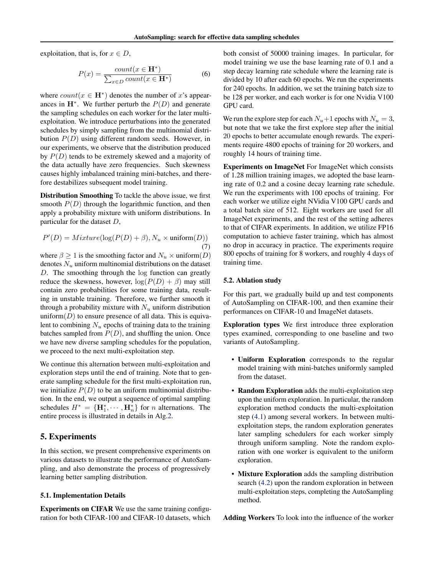<span id="page-4-0"></span>exploitation, that is, for  $x \in D$ ,

$$
P(x) = \frac{count(x \in \mathbf{H}^*)}{\sum_{x \in D} count(x \in \mathbf{H}^*)}
$$
(6)

where  $count(x \in H^*)$  denotes the number of x's appearances in  $H^*$ . We further perturb the  $P(D)$  and generate the sampling schedules on each worker for the later multiexploitation. We introduce perturbations into the generated schedules by simply sampling from the multinomial distribution  $P(D)$  using different random seeds. However, in our experiments, we observe that the distribution produced by  $P(D)$  tends to be extremely skewed and a majority of the data actually have zero frequencies. Such skewness causes highly imbalanced training mini-batches, and therefore destabilizes subsequent model training.

Distribution Smoothing To tackle the above issue, we first smooth  $P(D)$  through the logarithmic function, and then apply a probability mixture with uniform distributions. In particular for the dataset D,

$$
P'(D) = Mixture(\log(P(D) + \beta), N_u \times \text{uniform}(D))
$$
\n(7)

where  $\beta \ge 1$  is the smoothing factor and  $N_u \times \text{uniform}(D)$ denotes  $N_u$  uniform multinomial distributions on the dataset D. The smoothing through the log function can greatly reduce the skewness, however,  $log(P(D) + \beta)$  may still contain zero probabilities for some training data, resulting in unstable training. Therefore, we further smooth it through a probability mixture with  $N_u$  uniform distribution uniform $(D)$  to ensure presence of all data. This is equivalent to combining  $N_u$  epochs of training data to the training batches sampled from  $P(D)$ , and shuffling the union. Once we have new diverse sampling schedules for the population, we proceed to the next multi-exploitation step.

We continue this alternation between multi-exploitation and exploration steps until the end of training. Note that to generate sampling schedule for the first multi-exploitation run, we initialize  $P(D)$  to be an uniform multinomial distribution. In the end, we output a sequence of optimal sampling schedules  $H^* = {\{H_1^*, \cdots, H_n^*\}}$  for *n* alternations. The entire process is illustrated in details in Alg[.2.](#page-3-0)

## 5. Experiments

In this section, we present comprehensive experiments on various datasets to illustrate the performance of AutoSampling, and also demonstrate the process of progressively learning better sampling distribution.

#### 5.1. Implementation Details

Experiments on CIFAR We use the same training configuration for both CIFAR-100 and CIFAR-10 datasets, which

both consist of 50000 training images. In particular, for model training we use the base learning rate of 0.1 and a step decay learning rate schedule where the learning rate is divided by 10 after each 60 epochs. We run the experiments for 240 epochs. In addition, we set the training batch size to be 128 per worker, and each worker is for one Nvidia V100 GPU card.

We run the explore step for each  $N_u+1$  epochs with  $N_u = 3$ , but note that we take the first explore step after the initial 20 epochs to better accumulate enough rewards. The experiments require 4800 epochs of training for 20 workers, and roughly 14 hours of training time.

Experiments on ImageNet For ImageNet which consists of 1.28 million training images, we adopted the base learning rate of 0.2 and a cosine decay learning rate schedule. We run the experiments with 100 epochs of training. For each worker we utilize eight NVidia V100 GPU cards and a total batch size of 512. Eight workers are used for all ImageNet experiments, and the rest of the setting adheres to that of CIFAR experiments. In addition, we utilize FP16 computation to achieve faster training, which has almost no drop in accuracy in practice. The experiments require 800 epochs of training for 8 workers, and roughly 4 days of training time.

#### 5.2. Ablation study

For this part, we gradually build up and test components of AutoSampling on CIFAR-100, and then examine their performances on CIFAR-10 and ImageNet datasets.

Exploration types We first introduce three exploration types examined, corresponding to one baseline and two variants of AutoSampling.

- Uniform Exploration corresponds to the regular model training with mini-batches uniformly sampled from the dataset.
- Random Exploration adds the multi-exploitation step upon the uniform exploration. In particular, the random exploration method conducts the multi-exploitation step [\(4.1\)](#page-3-0) among several workers. In between multiexploitation steps, the random exploration generates later sampling schedulers for each worker simply through uniform sampling. Note the random exploration with one worker is equivalent to the uniform exploration.
- Mixture Exploration adds the sampling distribution search [\(4.2\)](#page-3-0) upon the random exploration in between multi-exploitation steps, completing the AutoSampling method.

Adding Workers To look into the influence of the worker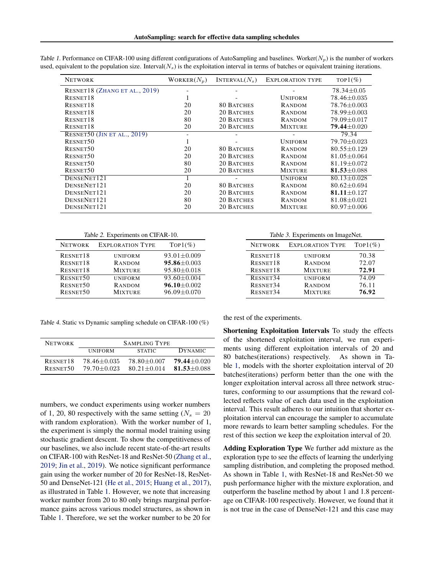| <b>NETWORK</b>                     | WORKER $(N_n)$ | INTERVAL $(N_s)$  | <b>EXPLORATION TYPE</b> | $TOP1(\%)$        |
|------------------------------------|----------------|-------------------|-------------------------|-------------------|
| RESNET18 (ZHANG ET AL., 2019)      |                |                   |                         | 78.34±0.05        |
| RESNET <sub>18</sub>               |                |                   | <b>UNIFORM</b>          | 78.46±0.035       |
| RESNET18                           | 20             | <b>80 BATCHES</b> | RANDOM                  | 78.76±0.003       |
| RESNET18                           | 20             | 20 BATCHES        | RANDOM                  | 78.99±0.003       |
| RESNET <sub>18</sub>               | 80             | 20 BATCHES        | <b>RANDOM</b>           | 79.09±0.017       |
| RESNET18                           | 20             | 20 BATCHES        | <b>MIXTURE</b>          | $79.44 \pm 0.020$ |
| <b>RESNET50 (JIN ET AL., 2019)</b> |                |                   |                         | 79.34             |
| RESNET50                           |                |                   | <b>UNIFORM</b>          | 79.70±0.023       |
| RESNET50                           | 20             | <b>80 BATCHES</b> | RANDOM                  | $80.55 + 0.129$   |
| RESNET50                           | 20             | 20 BATCHES        | RANDOM                  | $81.05 \pm 0.064$ |
| RESNET50                           | 80             | 20 BATCHES        | RANDOM                  | $81.19 \pm 0.072$ |
| RESNET50                           | 20             | 20 BATCHES        | <b>MIXTURE</b>          | 81.53 $\pm$ 0.088 |
| DENSENET121                        | 1              |                   | <b>UNIFORM</b>          | $80.13 \pm 0.028$ |
| DENSENET121                        | 20             | <b>80 BATCHES</b> | RANDOM                  | $80.62 + 0.694$   |
| DENSENET121                        | 20             | 20 BATCHES        | RANDOM                  | 81.11 $\pm$ 0.127 |
| DENSENET121                        | 80             | 20 BATCHES        | <b>RANDOM</b>           | $81.08 \pm 0.021$ |
| DENSENET121                        | 20             | 20 BATCHES        | <b>MIXTURE</b>          | $80.97 \pm 0.006$ |

<span id="page-5-0"></span>Table 1. Performance on CIFAR-100 using different configurations of AutoSampling and baselines. Worker( $N_p$ ) is the number of workers used, equivalent to the population size. Interval( $N<sub>s</sub>$ ) is the exploitation interval in terms of batches or equivalent training iterations.

Table 2. Experiments on CIFAR-10.

| <b>NETWORK</b> | <b>EXPLORATION TYPE</b> | $Top1(\%)$        |
|----------------|-------------------------|-------------------|
| RESNET18       | <b>UNIFORM</b>          | $93.01 \pm 0.009$ |
| RESNET18       | RANDOM                  | $95.86 \pm 0.003$ |
| RESNET18       | <b>MIXTURE</b>          | $95.80 \pm 0.018$ |
| RESNET50       | <b>UNIFORM</b>          | 93.60±0.004       |
| RESNET50       | RANDOM                  | $96.10 \pm 0.002$ |
| RESNET50       | <b>MIXTURE</b>          | $96.09 \pm 0.070$ |
|                |                         |                   |

Table 4. Static vs Dynamic sampling schedule on CIFAR-100 (%)

| <b>NETWORK</b> | <b>SAMPLING TYPE</b> |                 |                 |  |  |
|----------------|----------------------|-----------------|-----------------|--|--|
|                | <b>UNIFORM</b>       | <b>STATIC</b>   | <b>DYNAMIC</b>  |  |  |
| RESNET18       | $78.46 + 0.035$      | 78.80+0.007     | $79.44 + 0.020$ |  |  |
| RESNET50       | $79.70 + 0.023$      | $80.21 + 0.014$ | $81.53 + 0.088$ |  |  |

numbers, we conduct experiments using worker numbers of 1, 20, 80 respectively with the same setting ( $N_s = 20$ ) with random exploration). With the worker number of 1, the experiment is simply the normal model training using stochastic gradient descent. To show the competitiveness of our baselines, we also include recent state-of-the-art results on CIFAR-100 with ResNet-18 and ResNet-50 [\(Zhang et al.,](#page-10-0) [2019;](#page-10-0) [Jin et al.,](#page-9-0) [2019\)](#page-9-0). We notice significant performance gain using the worker number of 20 for ResNet-18, ResNet-50 and DenseNet-121 [\(He et al.,](#page-9-0) [2015;](#page-9-0) [Huang et al.,](#page-9-0) [2017\)](#page-9-0), as illustrated in Table 1. However, we note that increasing worker number from 20 to 80 only brings marginal performance gains across various model structures, as shown in Table 1. Therefore, we set the worker number to be 20 for

| Table 3. Experiments on ImageNet. |                         |            |  |  |  |
|-----------------------------------|-------------------------|------------|--|--|--|
| <b>NETWORK</b>                    | <b>EXPLORATION TYPE</b> | $Top1(\%)$ |  |  |  |
| RESNET18                          | <b>UNIFORM</b>          | 70.38      |  |  |  |
| RESNET18                          | RANDOM                  | 72.07      |  |  |  |
| RESNET18                          | <b>MIXTURE</b>          | 72.91      |  |  |  |
| RESNET34                          | <b>UNIFORM</b>          | 74.09      |  |  |  |
| RESNET34                          | RANDOM                  | 76.11      |  |  |  |
| RESNET34                          | <b>MIXTURE</b>          | 76.92      |  |  |  |

the rest of the experiments.

Shortening Exploitation Intervals To study the effects of the shortened exploitation interval, we run experiments using different exploitation intervals of 20 and 80 batches(iterations) respectively. As shown in Table 1, models with the shorter exploitation interval of 20 batches(iterations) perform better than the one with the longer exploitation interval across all three network structures, conforming to our assumptions that the reward collected reflects value of each data used in the exploitation interval. This result adheres to our intuition that shorter exploitation interval can encourage the sampler to accumulate more rewards to learn better sampling schedules. For the rest of this section we keep the exploitation interval of 20.

Adding Exploration Type We further add mixture as the exploration type to see the effects of learning the underlying sampling distribution, and completing the proposed method. As shown in Table 1, with ResNet-18 and ResNet-50 we push performance higher with the mixture exploration, and outperform the baseline method by about 1 and 1.8 percentage on CIFAR-100 respectively. However, we found that it is not true in the case of DenseNet-121 and this case may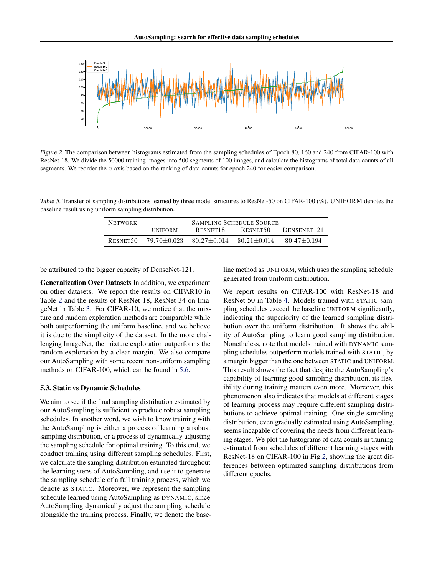<span id="page-6-0"></span>

Figure 2. The comparison between histograms estimated from the sampling schedules of Epoch 80, 160 and 240 from CIFAR-100 with ResNet-18. We divide the 50000 training images into 500 segments of 100 images, and calculate the histograms of total data counts of all segments. We reorder the x-axis based on the ranking of data counts for epoch 240 for easier comparison.

Table 5. Transfer of sampling distributions learned by three model structures to ResNet-50 on CIFAR-100 (%). UNIFORM denotes the baseline result using uniform sampling distribution.

| <b>NETWORK</b> | <b>SAMPLING SCHEDULE SOURCE</b> |                                 |          |                         |
|----------------|---------------------------------|---------------------------------|----------|-------------------------|
|                | <b>UNIFORM</b>                  | RESNET18                        | RESNET50 | DENSENET <sub>121</sub> |
| RESNET50       | 79.70+0.023                     | $80.27 + 0.014$ $80.21 + 0.014$ |          | $80.47 + 0.194$         |

be attributed to the bigger capacity of DenseNet-121.

Generalization Over Datasets In addition, we experiment on other datasets. We report the results on CIFAR10 in Table [2](#page-5-0) and the results of ResNet-18, ResNet-34 on ImageNet in Table [3.](#page-5-0) For CIFAR-10, we notice that the mixture and random exploration methods are comparable while both outperforming the uniform baseline, and we believe it is due to the simplicity of the dataset. In the more challenging ImageNet, the mixture exploration outperforms the random exploration by a clear margin. We also compare our AutoSampling with some recent non-uniform sampling methods on CIFAR-100, which can be found in [5.6.](#page-8-0)

#### 5.3. Static vs Dynamic Schedules

We aim to see if the final sampling distribution estimated by our AutoSampling is sufficient to produce robust sampling schedules. In another word, we wish to know training with the AutoSampling is either a process of learning a robust sampling distribution, or a process of dynamically adjusting the sampling schedule for optimal training. To this end, we conduct training using different sampling schedules. First, we calculate the sampling distribution estimated throughout the learning steps of AutoSampling, and use it to generate the sampling schedule of a full training process, which we denote as STATIC. Moreover, we represent the sampling schedule learned using AutoSampling as DYNAMIC, since AutoSampling dynamically adjust the sampling schedule alongside the training process. Finally, we denote the baseline method as UNIFORM, which uses the sampling schedule generated from uniform distribution.

We report results on CIFAR-100 with ResNet-18 and ResNet-50 in Table [4.](#page-5-0) Models trained with STATIC sampling schedules exceed the baseline UNIFORM significantly, indicating the superiority of the learned sampling distribution over the uniform distribution. It shows the ability of AutoSampling to learn good sampling distribution. Nonetheless, note that models trained with DYNAMIC sampling schedules outperform models trained with STATIC, by a margin bigger than the one between STATIC and UNIFORM. This result shows the fact that despite the AutoSampling's capability of learning good sampling distribution, its flexibility during training matters even more. Moreover, this phenomenon also indicates that models at different stages of learning process may require different sampling distributions to achieve optimal training. One single sampling distribution, even gradually estimated using AutoSampling, seems incapable of covering the needs from different learning stages. We plot the histograms of data counts in training estimated from schedules of different learning stages with ResNet-18 on CIFAR-100 in Fig.2, showing the great differences between optimized sampling distributions from different epochs.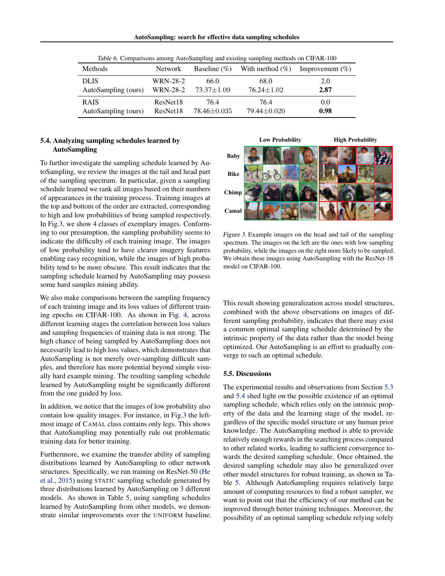| AutoSampling: search for effective data sampling schedules |  |  |  |
|------------------------------------------------------------|--|--|--|
|                                                            |  |  |  |

<span id="page-7-0"></span>

| Methods             | <b>Network</b>  | Baseline $(\% )$ | With method $(\% )$ | Improvement $(\% )$ |
|---------------------|-----------------|------------------|---------------------|---------------------|
| <b>DLIS</b>         | WRN-28-2        | 66.0             | 68.0                | 2.0                 |
| AutoSampling (ours) | <b>WRN-28-2</b> | 73.37±1.09       | $76.24 \pm 1.02$    | 2.87                |
| <b>RAIS</b>         | ResNet18        | 76.4             | 76.4                | 0.0                 |
| AutoSampling (ours) | ResNet18        | 78.46±0.035      | $79.44 \pm 0.020$   | 0.98                |

Table 6. Comparisons among AutoSampling and existing sampling methods on CIFAR-100

## 5.4. Analyzing sampling schedules learned by AutoSampling

To further investigate the sampling schedule learned by AutoSampling, we review the images at the tail and head part of the sampling spectrum. In particular, given a sampling schedule learned we rank all images based on their numbers of appearances in the training process. Training images at the top and bottom of the order are extracted, corresponding to high and low probabilities of being sampled respectively. In Fig.3, we show 4 classes of exemplary images. Conforming to our presumption, the sampling probability seems to indicate the difficulty of each training image. The images of low probability tend to have clearer imagery features enabling easy recognition, while the images of high probability tend to be more obscure. This result indicates that the sampling schedule learned by AutoSampling may possess some hard samples mining ability.

We also make comparisons between the sampling frequency of each training image and its loss values of different training epochs on CIFAR-100. As shown in Fig. [4,](#page-8-0) across different learning stages the correlation between loss values and sampling frequencies of training data is not strong. The high chance of being sampled by AutoSampling does not necessarily lead to high loss values, which demonstrates that AutoSampling is not merely over-sampling difficult samples, and therefore has more potential beyond simple visually hard example mining. The resulting sampling schedule learned by AutoSampling might be significantly different from the one guided by loss.

In addition, we notice that the images of low probability also contain low quality images. For instance, in Fig.3 the leftmost image of CAMAL class contains only legs. This shows that AutoSampling may potentially rule out problematic training data for better training.

Furthermore, we examine the transfer ability of sampling distributions learned by AutoSampling to other network structures. Specifically, we run training on ResNet-50 [\(He](#page-9-0) [et al.,](#page-9-0) [2015\)](#page-9-0) using STATIC sampling schedule generated by three distributions learned by AutoSampling on 3 different models. As shown in Table [5,](#page-6-0) using sampling schedules learned by AutoSampling from other models, we demonstrate similar improvements over the UNIFORM baseline.



Figure 3. Example images on the head and tail of the sampling spectrum. The images on the left are the ones with low sampling probability, while the images on the right more likely to be sampled. We obtain these images using AutoSampling with the ResNet-18 model on CIFAR-100.

This result showing generalization across model structures, combined with the above observations on images of different sampling probability, indicates that there may exist a common optimal sampling schedule determined by the intrinsic property of the data rather than the model being optimized. Our AutoSampling is an effort to gradually converge to such an optimal schedule.

#### 5.5. Discussions

The experimental results and observations from Section [5.3](#page-6-0) and 5.4 shed light on the possible existence of an optimal sampling schedule, which relies only on the intrinsic property of the data and the learning stage of the model, regardless of the specific model structure or any human prior knowledge. The AutoSampling method is able to provide relatively enough rewards in the searching process compared to other related works, leading to sufficient convergence towards the desired sampling schedule. Once obtained, the desired sampling schedule may also be generalized over other model structures for robust training, as shown in Table [5.](#page-6-0) Although AutoSampling requires relatively large amount of computing resources to find a robust sampler, we want to point out that the efficiency of our method can be improved through better training techniques. Moreover, the possibility of an optimal sampling schedule relying solely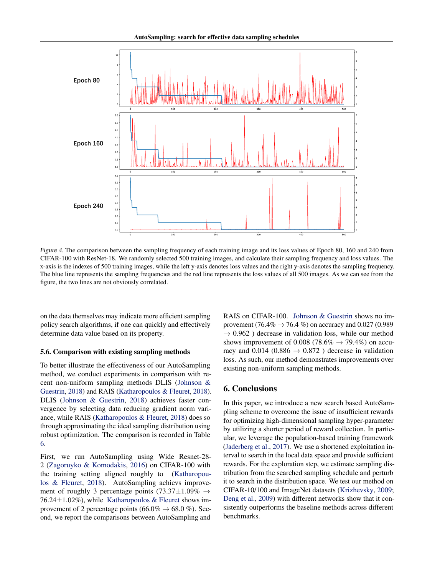<span id="page-8-0"></span>

Figure 4. The comparison between the sampling frequency of each training image and its loss values of Epoch 80, 160 and 240 from CIFAR-100 with ResNet-18. We randomly selected 500 training images, and calculate their sampling frequency and loss values. The x-axis is the indexes of 500 training images, while the left y-axis denotes loss values and the right y-axis denotes the sampling frequency. The blue line represents the sampling frequencies and the red line represents the loss values of all 500 images. As we can see from the figure, the two lines are not obviously correlated.

on the data themselves may indicate more efficient sampling policy search algorithms, if one can quickly and effectively determine data value based on its property.

#### 5.6. Comparison with existing sampling methods

To better illustrate the effectiveness of our AutoSampling method, we conduct experiments in comparison with recent non-uniform sampling methods DLIS [\(Johnson &](#page-9-0) [Guestrin,](#page-9-0) [2018\)](#page-9-0) and RAIS [\(Katharopoulos & Fleuret,](#page-9-0) [2018\)](#page-9-0). DLIS [\(Johnson & Guestrin,](#page-9-0) [2018\)](#page-9-0) achieves faster convergence by selecting data reducing gradient norm variance, while RAIS [\(Katharopoulos & Fleuret,](#page-9-0) [2018\)](#page-9-0) does so through approximating the ideal sampling distribution using robust optimization. The comparison is recorded in Table [6.](#page-7-0)

First, we run AutoSampling using Wide Resnet-28- 2 [\(Zagoruyko & Komodakis,](#page-10-0) [2016\)](#page-10-0) on CIFAR-100 with the training setting aligned roughly to [\(Katharopou](#page-9-0)[los & Fleuret,](#page-9-0) [2018\)](#page-9-0). AutoSampling achievs improvement of roughly 3 percentage points (73.37 $\pm$ 1.09%  $\rightarrow$ 76.24 $\pm$ 1.02%), while [Katharopoulos & Fleuret](#page-9-0) shows improvement of 2 percentage points (66.0%  $\rightarrow$  68.0 %). Second, we report the comparisons between AutoSampling and RAIS on CIFAR-100. [Johnson & Guestrin](#page-9-0) shows no improvement (76.4%  $\rightarrow$  76.4 %) on accuracy and 0.027 (0.989  $\rightarrow$  0.962) decrease in validation loss, while our method shows improvement of 0.008 (78.6%  $\rightarrow$  79.4%) on accuracy and 0.014 (0.886  $\rightarrow$  0.872) decrease in validation loss. As such, our method demonstrates improvements over existing non-uniform sampling methods.

# 6. Conclusions

In this paper, we introduce a new search based AutoSampling scheme to overcome the issue of insufficient rewards for optimizing high-dimensional sampling hyper-parameter by utilizing a shorter period of reward collection. In particular, we leverage the population-based training framework [\(Jaderberg et al.,](#page-9-0) [2017\)](#page-9-0). We use a shortened exploitation interval to search in the local data space and provide sufficient rewards. For the exploration step, we estimate sampling distribution from the searched sampling schedule and perturb it to search in the distribution space. We test our method on CIFAR-10/100 and ImageNet datasets [\(Krizhevsky,](#page-9-0) [2009;](#page-9-0) [Deng et al.,](#page-9-0) [2009\)](#page-9-0) with different networks show that it consistently outperforms the baseline methods across different benchmarks.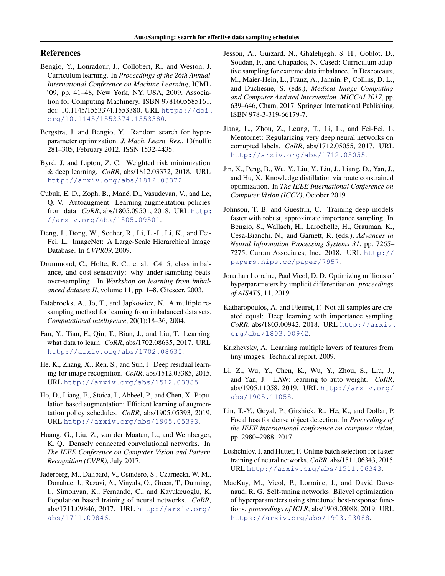## <span id="page-9-0"></span>References

- Bengio, Y., Louradour, J., Collobert, R., and Weston, J. Curriculum learning. In *Proceedings of the 26th Annual International Conference on Machine Learning*, ICML '09, pp. 41–48, New York, NY, USA, 2009. Association for Computing Machinery. ISBN 9781605585161. doi: 10.1145/1553374.1553380. URL [https://doi.](https://doi.org/10.1145/1553374.1553380) [org/10.1145/1553374.1553380](https://doi.org/10.1145/1553374.1553380).
- Bergstra, J. and Bengio, Y. Random search for hyperparameter optimization. *J. Mach. Learn. Res.*, 13(null): 281–305, February 2012. ISSN 1532-4435.
- Byrd, J. and Lipton, Z. C. Weighted risk minimization & deep learning. *CoRR*, abs/1812.03372, 2018. URL <http://arxiv.org/abs/1812.03372>.
- Cubuk, E. D., Zoph, B., Mané, D., Vasudevan, V., and Le, Q. V. Autoaugment: Learning augmentation policies from data. *CoRR*, abs/1805.09501, 2018. URL [http:](http://arxiv.org/abs/1805.09501) [//arxiv.org/abs/1805.09501](http://arxiv.org/abs/1805.09501).
- Deng, J., Dong, W., Socher, R., Li, L.-J., Li, K., and Fei-Fei, L. ImageNet: A Large-Scale Hierarchical Image Database. In *CVPR09*, 2009.
- Drummond, C., Holte, R. C., et al. C4. 5, class imbalance, and cost sensitivity: why under-sampling beats over-sampling. In *Workshop on learning from imbalanced datasets II*, volume 11, pp. 1–8. Citeseer, 2003.
- Estabrooks, A., Jo, T., and Japkowicz, N. A multiple resampling method for learning from imbalanced data sets. *Computational intelligence*, 20(1):18–36, 2004.
- Fan, Y., Tian, F., Qin, T., Bian, J., and Liu, T. Learning what data to learn. *CoRR*, abs/1702.08635, 2017. URL <http://arxiv.org/abs/1702.08635>.
- He, K., Zhang, X., Ren, S., and Sun, J. Deep residual learning for image recognition. *CoRR*, abs/1512.03385, 2015. URL <http://arxiv.org/abs/1512.03385>.
- Ho, D., Liang, E., Stoica, I., Abbeel, P., and Chen, X. Population based augmentation: Efficient learning of augmentation policy schedules. *CoRR*, abs/1905.05393, 2019. URL <http://arxiv.org/abs/1905.05393>.
- Huang, G., Liu, Z., van der Maaten, L., and Weinberger, K. Q. Densely connected convolutional networks. In *The IEEE Conference on Computer Vision and Pattern Recognition (CVPR)*, July 2017.
- Jaderberg, M., Dalibard, V., Osindero, S., Czarnecki, W. M., Donahue, J., Razavi, A., Vinyals, O., Green, T., Dunning, I., Simonyan, K., Fernando, C., and Kavukcuoglu, K. Population based training of neural networks. *CoRR*, abs/1711.09846, 2017. URL [http://arxiv.org/](http://arxiv.org/abs/1711.09846) [abs/1711.09846](http://arxiv.org/abs/1711.09846).
- Jesson, A., Guizard, N., Ghalehjegh, S. H., Goblot, D., Soudan, F., and Chapados, N. Cased: Curriculum adaptive sampling for extreme data imbalance. In Descoteaux, M., Maier-Hein, L., Franz, A., Jannin, P., Collins, D. L., and Duchesne, S. (eds.), *Medical Image Computing and Computer Assisted Intervention MICCAI 2017*, pp. 639–646, Cham, 2017. Springer International Publishing. ISBN 978-3-319-66179-7.
- Jiang, L., Zhou, Z., Leung, T., Li, L., and Fei-Fei, L. Mentornet: Regularizing very deep neural networks on corrupted labels. *CoRR*, abs/1712.05055, 2017. URL <http://arxiv.org/abs/1712.05055>.
- Jin, X., Peng, B., Wu, Y., Liu, Y., Liu, J., Liang, D., Yan, J., and Hu, X. Knowledge distillation via route constrained optimization. In *The IEEE International Conference on Computer Vision (ICCV)*, October 2019.
- Johnson, T. B. and Guestrin, C. Training deep models faster with robust, approximate importance sampling. In Bengio, S., Wallach, H., Larochelle, H., Grauman, K., Cesa-Bianchi, N., and Garnett, R. (eds.), *Advances in Neural Information Processing Systems 31*, pp. 7265– 7275. Curran Associates, Inc., 2018. URL [http://](http://papers.nips.cc/paper/7957) [papers.nips.cc/paper/7957](http://papers.nips.cc/paper/7957).
- Jonathan Lorraine, Paul Vicol, D. D. Optimizing millions of hyperparameters by implicit differentiation. *proceedings of AISATS*, 11, 2019.
- Katharopoulos, A. and Fleuret, F. Not all samples are created equal: Deep learning with importance sampling. *CoRR*, abs/1803.00942, 2018. URL [http://arxiv.](http://arxiv.org/abs/1803.00942) [org/abs/1803.00942](http://arxiv.org/abs/1803.00942).
- Krizhevsky, A. Learning multiple layers of features from tiny images. Technical report, 2009.
- Li, Z., Wu, Y., Chen, K., Wu, Y., Zhou, S., Liu, J., and Yan, J. LAW: learning to auto weight. *CoRR*, abs/1905.11058, 2019. URL [http://arxiv.org/](http://arxiv.org/abs/1905.11058) [abs/1905.11058](http://arxiv.org/abs/1905.11058).
- Lin, T.-Y., Goyal, P., Girshick, R., He, K., and Dollár, P. Focal loss for dense object detection. In *Proceedings of the IEEE international conference on computer vision*, pp. 2980–2988, 2017.
- Loshchilov, I. and Hutter, F. Online batch selection for faster training of neural networks. *CoRR*, abs/1511.06343, 2015. URL <http://arxiv.org/abs/1511.06343>.
- MacKay, M., Vicol, P., Lorraine, J., and David Duvenaud, R. G. Self-tuning networks: Bilevel optimization of hyperparameters using structured best-response functions. *proceedings of ICLR*, abs/1903.03088, 2019. URL <https://arxiv.org/abs/1903.03088>.